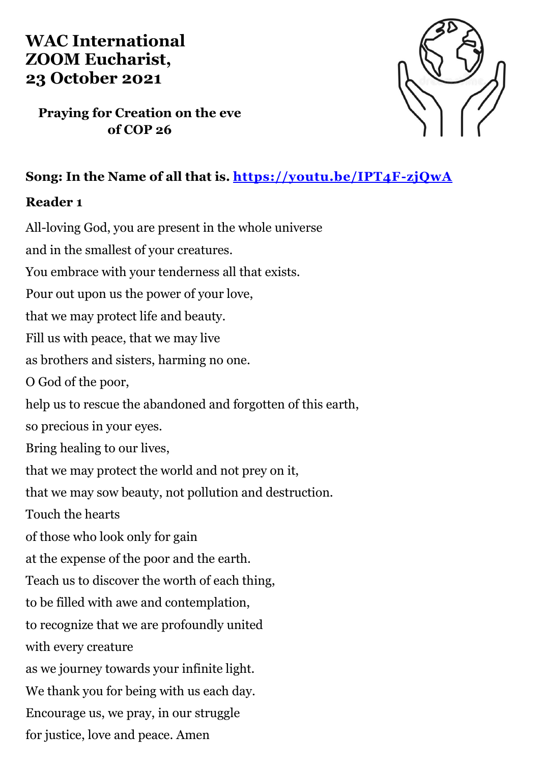# **WAC International ZOOM Eucharist, 23 October 2021**

**Praying for Creation on the eve of COP 26**



# **Song: In the Name of all that is.<https://youtu.be/IPT4F-zjQwA>**

#### **Reader 1**

All-loving God, you are present in the whole universe and in the smallest of your creatures. You embrace with your tenderness all that exists. Pour out upon us the power of your love, that we may protect life and beauty. Fill us with peace, that we may live as brothers and sisters, harming no one. O God of the poor, help us to rescue the abandoned and forgotten of this earth, so precious in your eyes. Bring healing to our lives, that we may protect the world and not prey on it, that we may sow beauty, not pollution and destruction. Touch the hearts of those who look only for gain at the expense of the poor and the earth. Teach us to discover the worth of each thing, to be filled with awe and contemplation, to recognize that we are profoundly united with every creature as we journey towards your infinite light. We thank you for being with us each day. Encourage us, we pray, in our struggle for justice, love and peace. Amen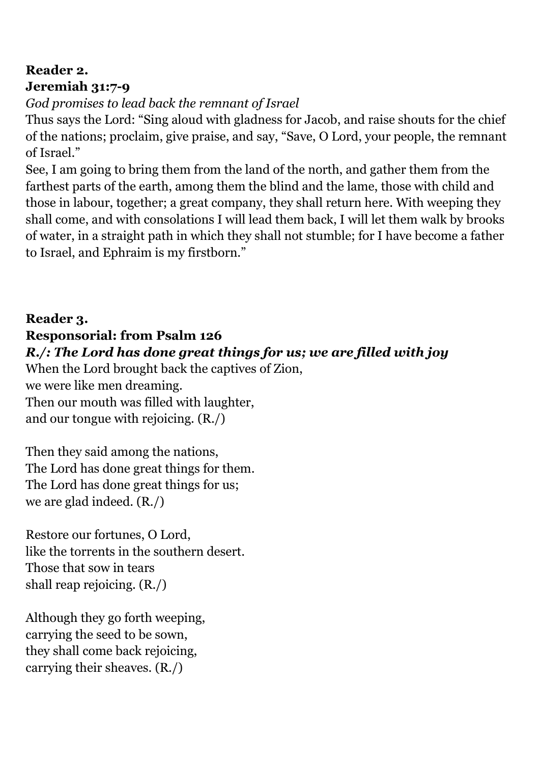# **Reader 2. Jeremiah 31:7-9**

*God promises to lead back the remnant of Israel*

Thus says the Lord: "Sing aloud with gladness for Jacob, and raise shouts for the chief of the nations; proclaim, give praise, and say, "Save, O Lord, your people, the remnant of Israel."

See, I am going to bring them from the land of the north, and gather them from the farthest parts of the earth, among them the blind and the lame, those with child and those in labour, together; a great company, they shall return here. With weeping they shall come, and with consolations I will lead them back, I will let them walk by brooks of water, in a straight path in which they shall not stumble; for I have become a father to Israel, and Ephraim is my firstborn."

### **Reader 3.**

### **Responsorial: from Psalm 126**

### *R./: The Lord has done great things for us; we are filled with joy*

When the Lord brought back the captives of Zion, we were like men dreaming. Then our mouth was filled with laughter, and our tongue with rejoicing. (R./)

Then they said among the nations, The Lord has done great things for them. The Lord has done great things for us; we are glad indeed. (R./)

Restore our fortunes, O Lord, like the torrents in the southern desert. Those that sow in tears shall reap rejoicing. (R./)

Although they go forth weeping, carrying the seed to be sown, they shall come back rejoicing, carrying their sheaves. (R./)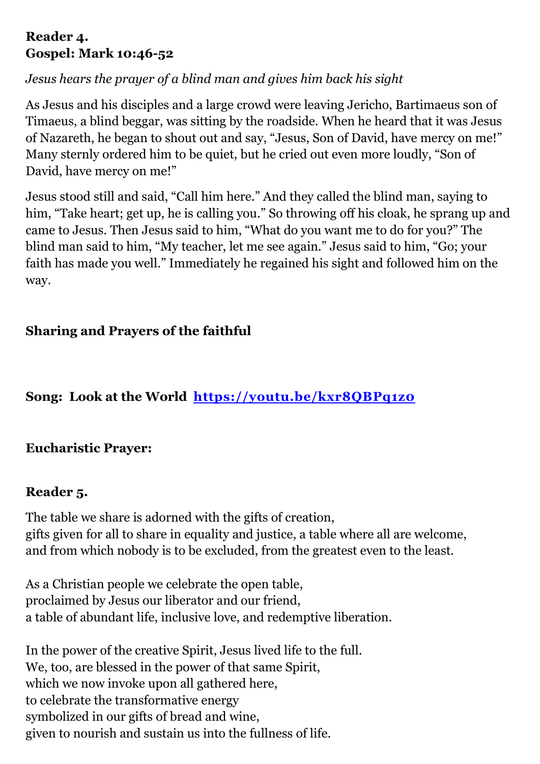#### **Reader 4. Gospel: Mark 10:46-52**

# *Jesus hears the prayer of a blind man and gives him back his sight*

As Jesus and his disciples and a large crowd were leaving Jericho, Bartimaeus son of Timaeus, a blind beggar, was sitting by the roadside. When he heard that it was Jesus of Nazareth, he began to shout out and say, "Jesus, Son of David, have mercy on me!" Many sternly ordered him to be quiet, but he cried out even more loudly, "Son of David, have mercy on me!"

Jesus stood still and said, "Call him here." And they called the blind man, saying to him, "Take heart; get up, he is calling you." So throwing off his cloak, he sprang up and came to Jesus. Then Jesus said to him, "What do you want me to do for you?" The blind man said to him, "My teacher, let me see again." Jesus said to him, "Go; your faith has made you well." Immediately he regained his sight and followed him on the way.

# **Sharing and Prayers of the faithful**

# **Song: Look at the World <https://youtu.be/kxr8QBPq1z0>**

### **Eucharistic Prayer:**

### **Reader 5.**

The table we share is adorned with the gifts of creation, gifts given for all to share in equality and justice, a table where all are welcome, and from which nobody is to be excluded, from the greatest even to the least.

As a Christian people we celebrate the open table, proclaimed by Jesus our liberator and our friend, a table of abundant life, inclusive love, and redemptive liberation.

In the power of the creative Spirit, Jesus lived life to the full. We, too, are blessed in the power of that same Spirit, which we now invoke upon all gathered here, to celebrate the transformative energy symbolized in our gifts of bread and wine, given to nourish and sustain us into the fullness of life.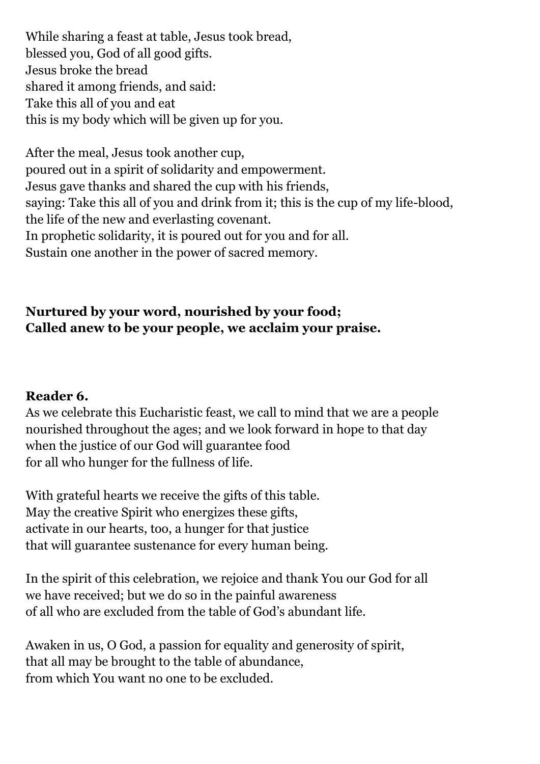While sharing a feast at table, Jesus took bread, blessed you, God of all good gifts. Jesus broke the bread shared it among friends, and said: Take this all of you and eat this is my body which will be given up for you.

After the meal, Jesus took another cup, poured out in a spirit of solidarity and empowerment. Jesus gave thanks and shared the cup with his friends, saying: Take this all of you and drink from it; this is the cup of my life-blood, the life of the new and everlasting covenant. In prophetic solidarity, it is poured out for you and for all. Sustain one another in the power of sacred memory.

# **Nurtured by your word, nourished by your food; Called anew to be your people, we acclaim your praise.**

#### **Reader 6.**

As we celebrate this Eucharistic feast, we call to mind that we are a people nourished throughout the ages; and we look forward in hope to that day when the justice of our God will guarantee food for all who hunger for the fullness of life.

With grateful hearts we receive the gifts of this table. May the creative Spirit who energizes these gifts, activate in our hearts, too, a hunger for that justice that will guarantee sustenance for every human being.

In the spirit of this celebration, we rejoice and thank You our God for all we have received; but we do so in the painful awareness of all who are excluded from the table of God's abundant life.

Awaken in us, O God, a passion for equality and generosity of spirit, that all may be brought to the table of abundance, from which You want no one to be excluded.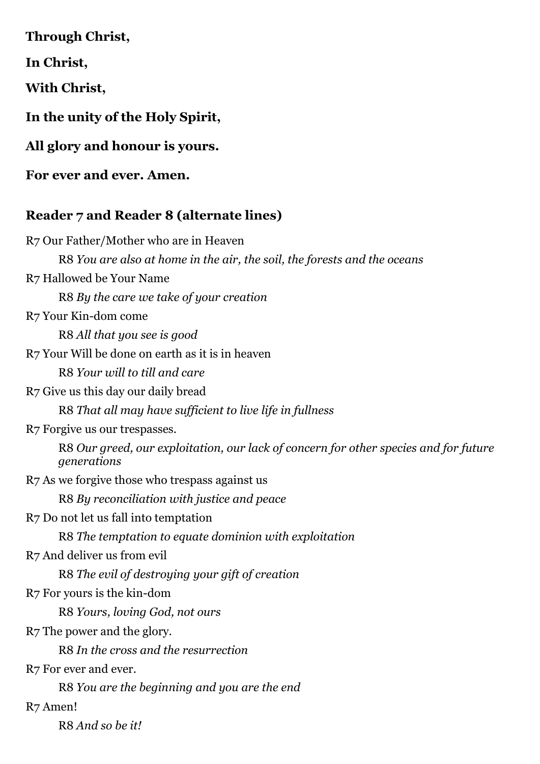**Through Christ,**

**In Christ,**

**With Christ,**

**In the unity of the Holy Spirit,** 

**All glory and honour is yours.**

**For ever and ever. Amen.**

### **Reader 7 and Reader 8 (alternate lines)**

R7 Our Father/Mother who are in Heaven R8 *You are also at home in the air, the soil, the forests and the oceans* R7 Hallowed be Your Name R8 *By the care we take of your creation* R7 Your Kin-dom come R8 *All that you see is good* R7 Your Will be done on earth as it is in heaven R8 *Your will to till and care* R7 Give us this day our daily bread R8 *That all may have sufficient to live life in fullness* R7 Forgive us our trespasses. R8 *Our greed, our exploitation, our lack of concern for other species and for future generations* R7 As we forgive those who trespass against us R8 *By reconciliation with justice and peace* R7 Do not let us fall into temptation R8 *The temptation to equate dominion with exploitation* R7 And deliver us from evil R8 *The evil of destroying your gift of creation* R7 For yours is the kin-dom R8 *Yours, loving God, not ours* R7 The power and the glory. R8 *In the cross and the resurrection* R7 For ever and ever. R8 *You are the beginning and you are the end* R7 Amen! R8 *And so be it!*